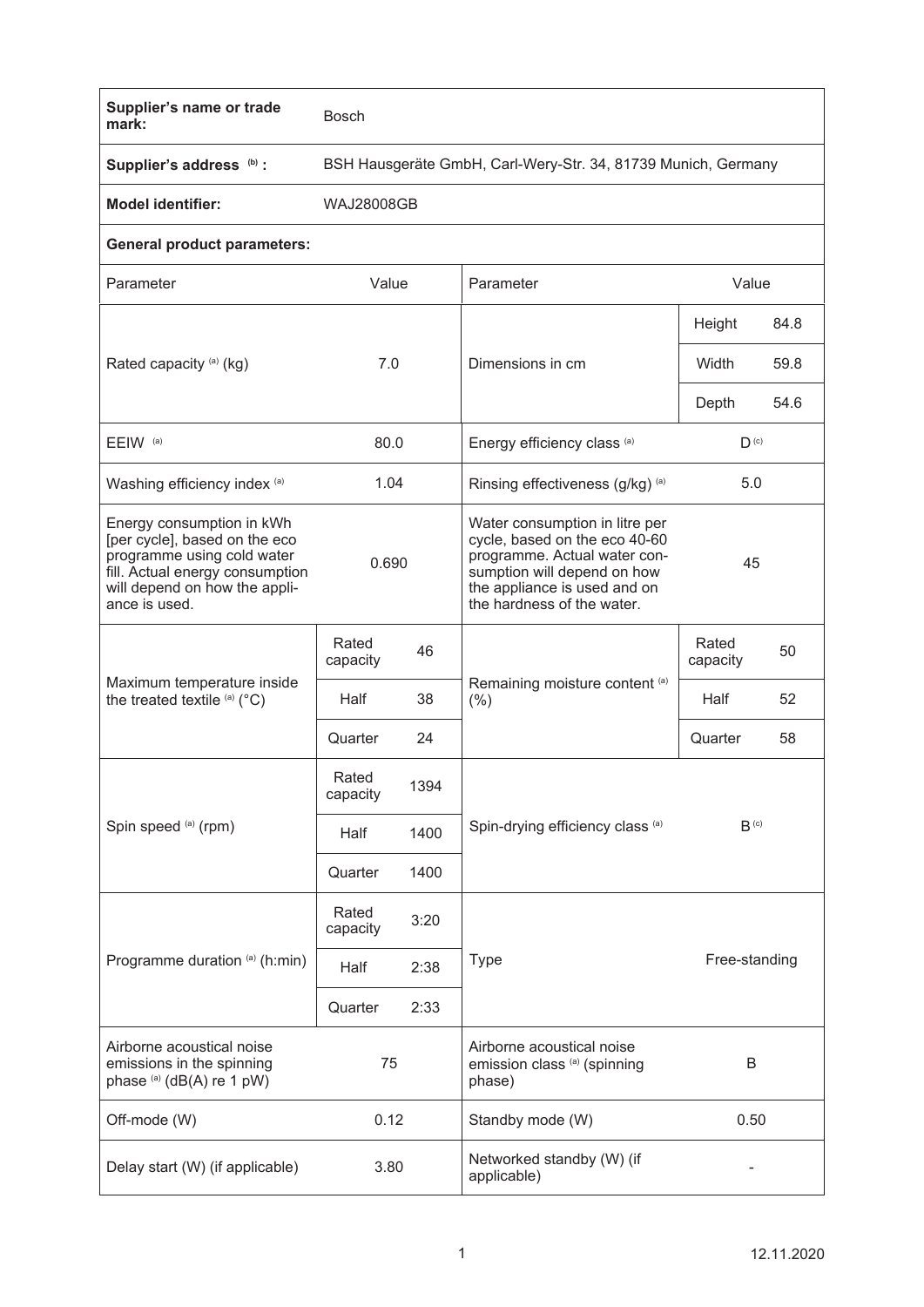| Supplier's name or trade<br>mark:                                                                                                                                             | <b>Bosch</b>                                                  |      |                                                                                                                                                                                              |                   |      |
|-------------------------------------------------------------------------------------------------------------------------------------------------------------------------------|---------------------------------------------------------------|------|----------------------------------------------------------------------------------------------------------------------------------------------------------------------------------------------|-------------------|------|
| Supplier's address (b) :                                                                                                                                                      | BSH Hausgeräte GmbH, Carl-Wery-Str. 34, 81739 Munich, Germany |      |                                                                                                                                                                                              |                   |      |
| <b>Model identifier:</b>                                                                                                                                                      | <b>WAJ28008GB</b>                                             |      |                                                                                                                                                                                              |                   |      |
| <b>General product parameters:</b>                                                                                                                                            |                                                               |      |                                                                                                                                                                                              |                   |      |
| Parameter                                                                                                                                                                     | Value                                                         |      | Parameter                                                                                                                                                                                    | Value             |      |
| Rated capacity (a) (kg)                                                                                                                                                       | 7.0                                                           |      | Dimensions in cm                                                                                                                                                                             | Height            | 84.8 |
|                                                                                                                                                                               |                                                               |      |                                                                                                                                                                                              | Width             | 59.8 |
|                                                                                                                                                                               |                                                               |      |                                                                                                                                                                                              | Depth             | 54.6 |
| EEIW <sup>(a)</sup>                                                                                                                                                           | 80.0                                                          |      | Energy efficiency class (a)                                                                                                                                                                  | $D^{(c)}$         |      |
| Washing efficiency index (a)                                                                                                                                                  | 1.04                                                          |      | Rinsing effectiveness (g/kg) (a)                                                                                                                                                             | 5.0               |      |
| Energy consumption in kWh<br>[per cycle], based on the eco<br>programme using cold water<br>fill. Actual energy consumption<br>will depend on how the appli-<br>ance is used. | 0.690                                                         |      | Water consumption in litre per<br>cycle, based on the eco 40-60<br>programme. Actual water con-<br>sumption will depend on how<br>the appliance is used and on<br>the hardness of the water. | 45                |      |
| Maximum temperature inside<br>the treated textile (a) (°C)                                                                                                                    | Rated<br>capacity                                             | 46   | Remaining moisture content (a)<br>(% )                                                                                                                                                       | Rated<br>capacity | 50   |
|                                                                                                                                                                               | Half                                                          | 38   |                                                                                                                                                                                              | Half              | 52   |
|                                                                                                                                                                               | Quarter                                                       | 24   |                                                                                                                                                                                              | Quarter           | 58   |
| Spin speed (a) (rpm)                                                                                                                                                          | Rated<br>capacity                                             | 1394 |                                                                                                                                                                                              | $B^{(c)}$         |      |
|                                                                                                                                                                               | Half                                                          | 1400 | Spin-drying efficiency class (a)                                                                                                                                                             |                   |      |
|                                                                                                                                                                               | Quarter                                                       | 1400 |                                                                                                                                                                                              |                   |      |
| Programme duration (a) (h:min)                                                                                                                                                | Rated<br>capacity                                             | 3:20 | Free-standing<br><b>Type</b>                                                                                                                                                                 |                   |      |
|                                                                                                                                                                               | Half                                                          | 2:38 |                                                                                                                                                                                              |                   |      |
|                                                                                                                                                                               | Quarter                                                       | 2:33 |                                                                                                                                                                                              |                   |      |
| Airborne acoustical noise<br>emissions in the spinning<br>phase (a) (dB(A) re 1 pW)                                                                                           | 75                                                            |      | Airborne acoustical noise<br>emission class (a) (spinning<br>phase)                                                                                                                          | B                 |      |
| Off-mode (W)                                                                                                                                                                  | 0.12                                                          |      | Standby mode (W)                                                                                                                                                                             | 0.50              |      |
| Delay start (W) (if applicable)                                                                                                                                               | 3.80                                                          |      | Networked standby (W) (if<br>applicable)                                                                                                                                                     |                   |      |